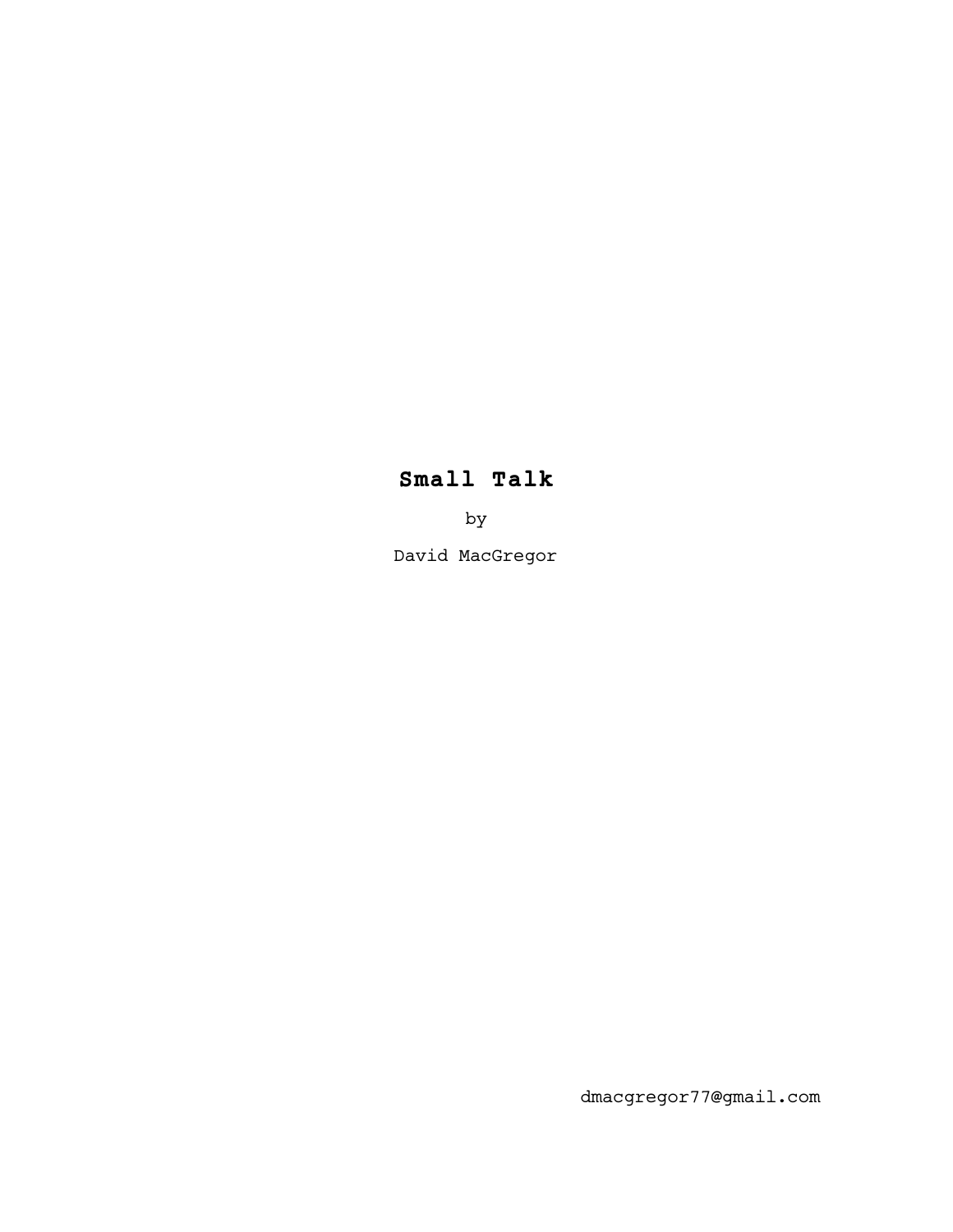# **Small Talk**

by

David MacGregor

dmacgregor77@gmail.com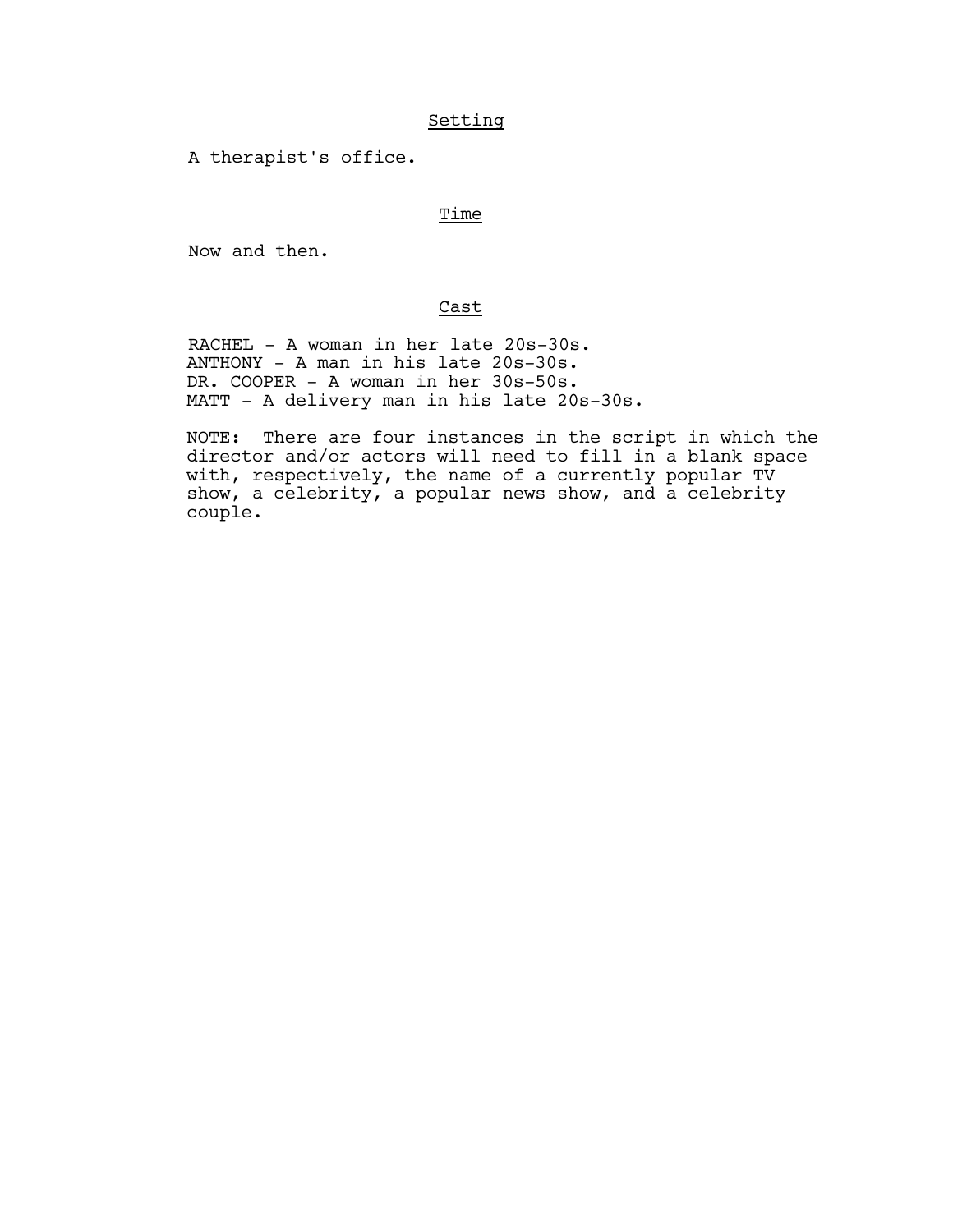# Setting

A therapist's office.

# Time

Now and then.

# Cast

 RACHEL - A woman in her late 20s-30s. ANTHONY - A man in his late 20s-30s. DR. COOPER - A woman in her 30s-50s. MATT - A delivery man in his late 20s-30s.

NOTE: There are four instances in the script in which the director and/or actors will need to fill in a blank space with, respectively, the name of a currently popular TV show, a celebrity, a popular news show, and a celebrity couple.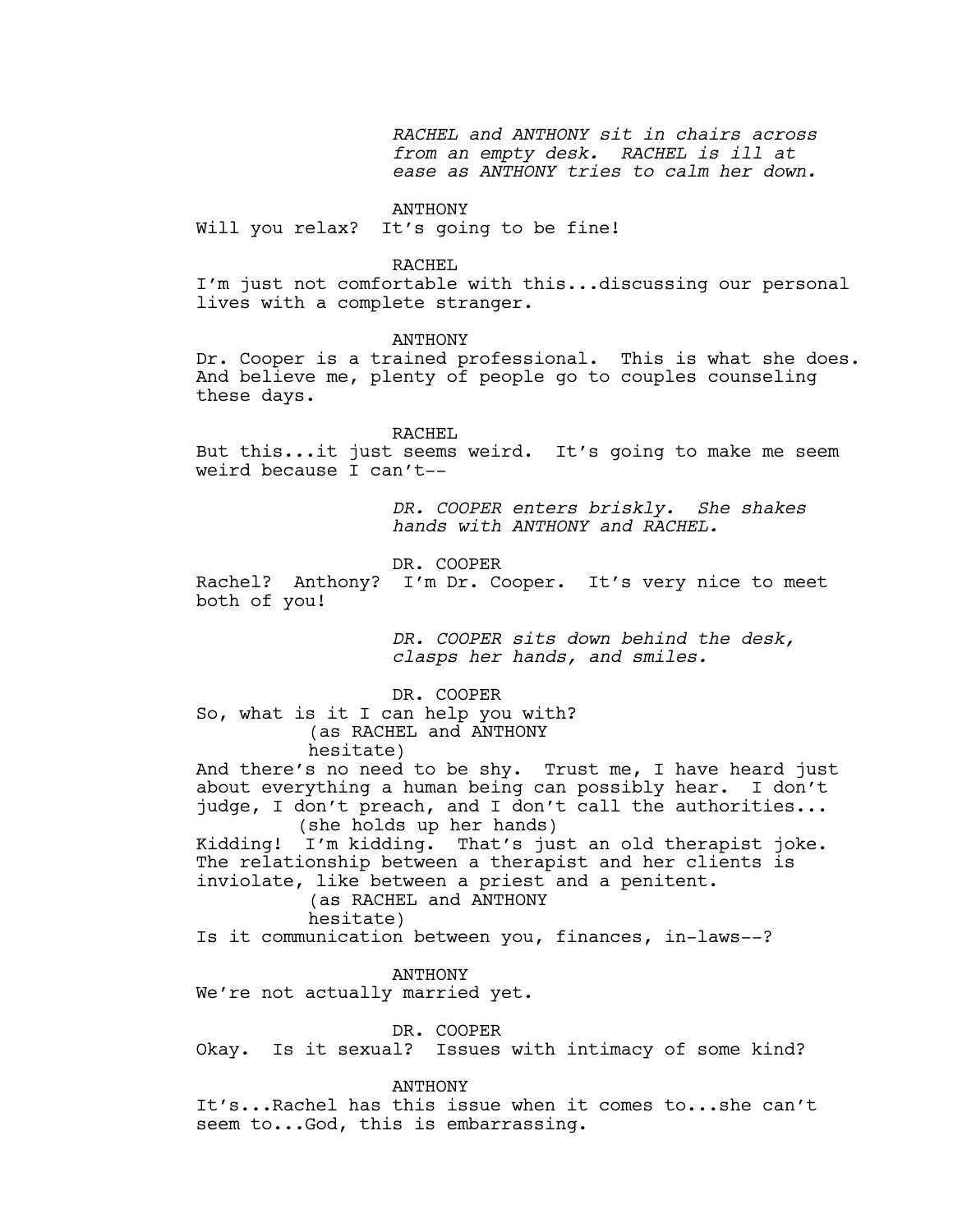*RACHEL and ANTHONY sit in chairs across from an empty desk. RACHEL is ill at ease as ANTHONY tries to calm her down.*

## ANTHONY

Will you relax? It's going to be fine!

## RACHEL

I'm just not comfortable with this...discussing our personal lives with a complete stranger.

## ANTHONY

Dr. Cooper is a trained professional. This is what she does. And believe me, plenty of people go to couples counseling these days.

#### RACHEL

But this...it just seems weird. It's going to make me seem weird because I can't--

> *DR. COOPER enters briskly. She shakes hands with ANTHONY and RACHEL.*

DR. COOPER

Rachel? Anthony? I'm Dr. Cooper. It's very nice to meet both of you!

> *DR. COOPER sits down behind the desk, clasps her hands, and smiles.*

DR. COOPER So, what is it I can help you with? (as RACHEL and ANTHONY hesitate)

And there's no need to be shy. Trust me, I have heard just about everything a human being can possibly hear. I don't judge, I don't preach, and I don't call the authorities... (she holds up her hands)

Kidding! I'm kidding. That's just an old therapist joke. The relationship between a therapist and her clients is inviolate, like between a priest and a penitent.

 (as RACHEL and ANTHONY hesitate)

Is it communication between you, finances, in-laws--?

#### ANTHONY

We're not actually married yet.

DR. COOPER

Okay. Is it sexual? Issues with intimacy of some kind?

ANTHONY

It's...Rachel has this issue when it comes to...she can't seem to...God, this is embarrassing.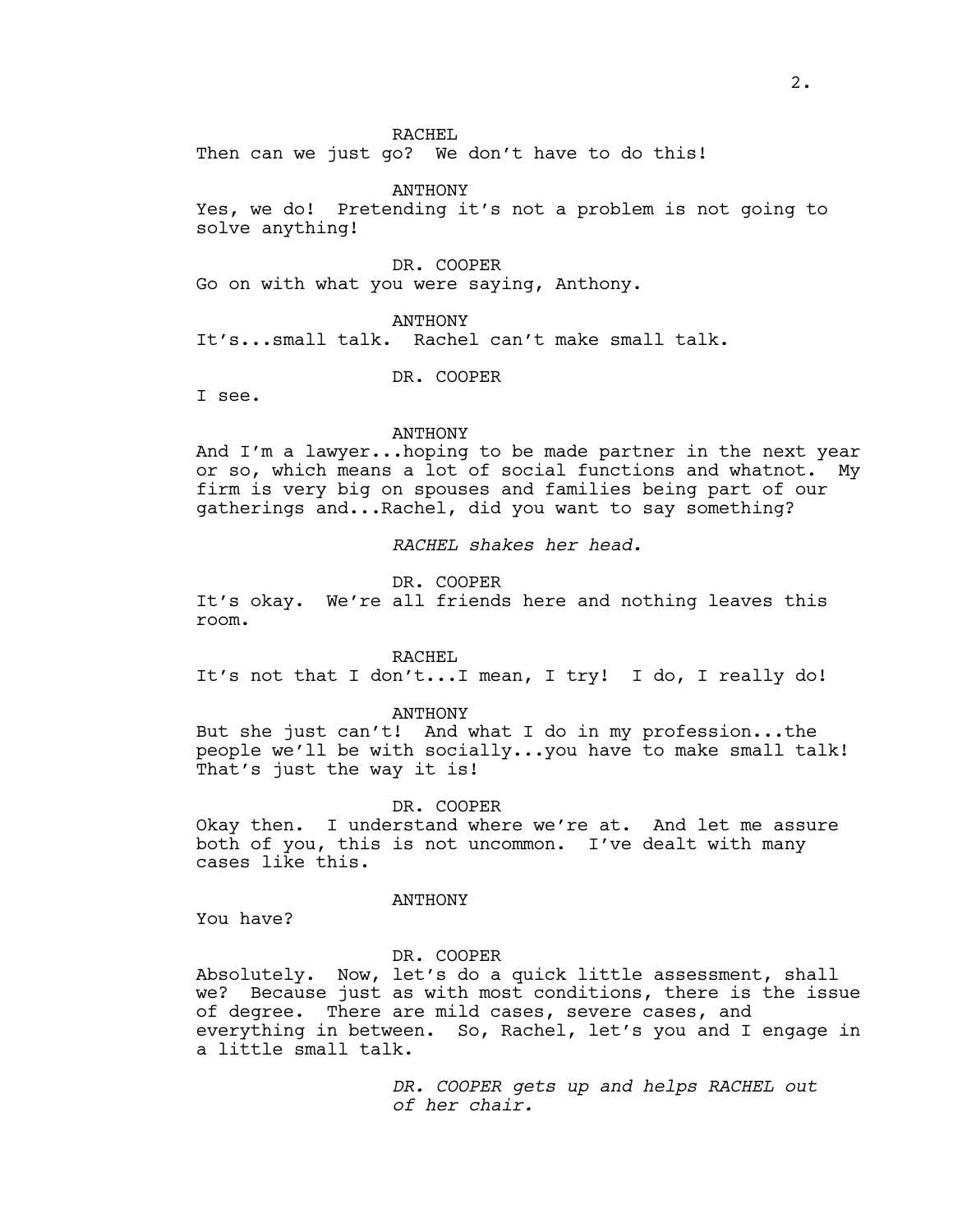RACHEL

Then can we just go? We don't have to do this!

ANTHONY Yes, we do! Pretending it's not a problem is not going to solve anything!

DR. COOPER Go on with what you were saying, Anthony.

ANTHONY It's...small talk. Rachel can't make small talk.

DR. COOPER

I see.

#### ANTHONY

And I'm a lawyer...hoping to be made partner in the next year or so, which means a lot of social functions and whatnot. My firm is very big on spouses and families being part of our gatherings and...Rachel, did you want to say something?

*RACHEL shakes her head.*

DR. COOPER

It's okay. We're all friends here and nothing leaves this room.

RACHEL

It's not that I don't...I mean, I try! I do, I really do!

#### ANTHONY

But she just can't! And what I do in my profession...the people we'll be with socially...you have to make small talk! That's just the way it is!

## DR. COOPER

Okay then. I understand where we're at. And let me assure both of you, this is not uncommon. I've dealt with many cases like this.

ANTHONY

You have?

#### DR. COOPER

Absolutely. Now, let's do a quick little assessment, shall we? Because just as with most conditions, there is the issue of degree. There are mild cases, severe cases, and everything in between. So, Rachel, let's you and I engage in a little small talk.

> *DR. COOPER gets up and helps RACHEL out of her chair.*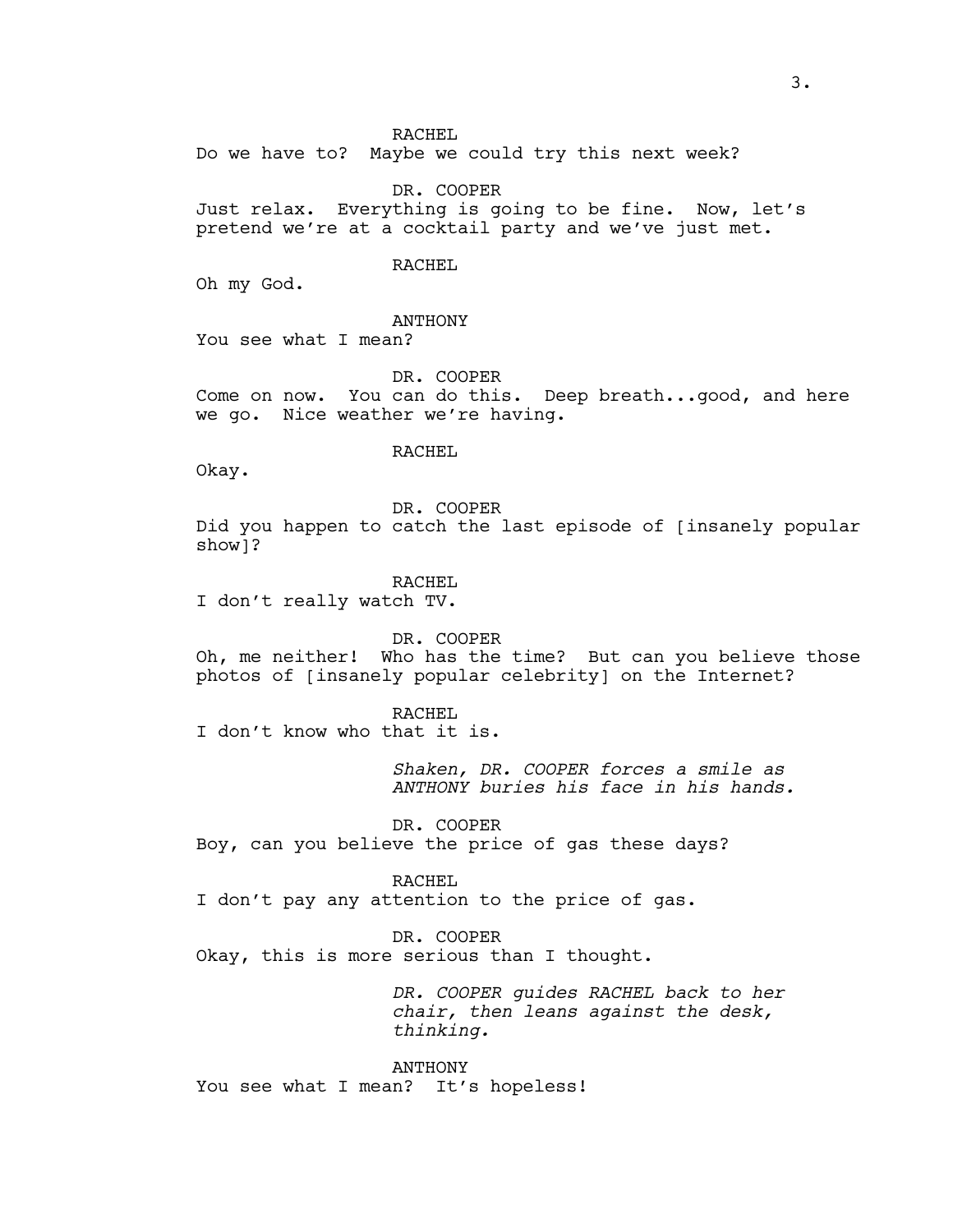RACHEL

Do we have to? Maybe we could try this next week?

DR. COOPER Just relax. Everything is going to be fine. Now, let's pretend we're at a cocktail party and we've just met.

# RACHEL

Oh my God.

**ANTHONY** 

You see what I mean?

DR. COOPER Come on now. You can do this. Deep breath...good, and here we go. Nice weather we're having.

#### RACHEL

Okay.

DR. COOPER Did you happen to catch the last episode of [insanely popular show]?

RACHEL

I don't really watch TV.

DR. COOPER Oh, me neither! Who has the time? But can you believe those photos of [insanely popular celebrity] on the Internet?

RACHEL

I don't know who that it is.

*Shaken, DR. COOPER forces a smile as ANTHONY buries his face in his hands.*

DR. COOPER Boy, can you believe the price of gas these days?

RACHEL I don't pay any attention to the price of gas.

DR. COOPER Okay, this is more serious than I thought.

> *DR. COOPER guides RACHEL back to her chair, then leans against the desk, thinking.*

ANTHONY You see what I mean? It's hopeless!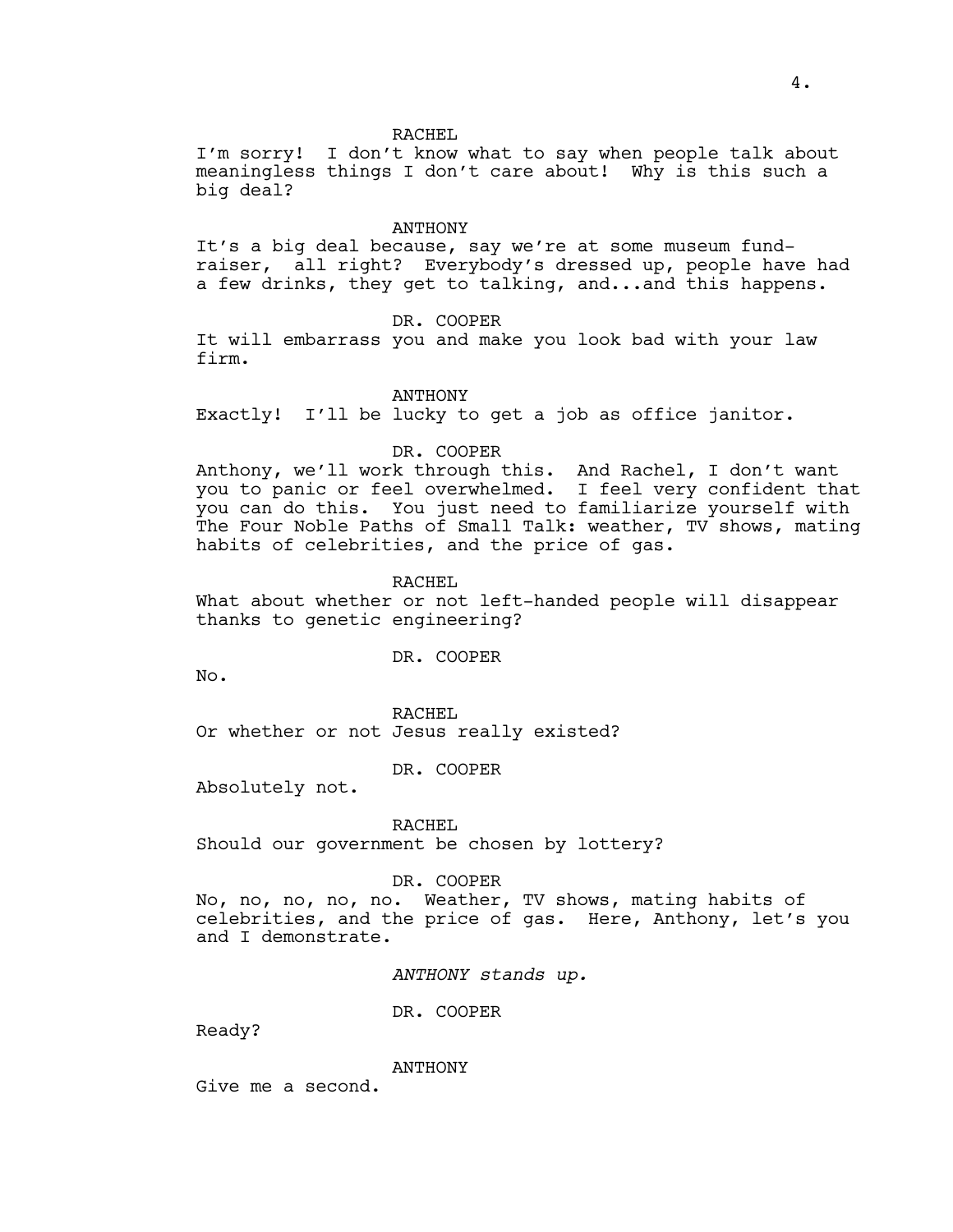#### RACHEL

I'm sorry! I don't know what to say when people talk about meaningless things I don't care about! Why is this such a big deal?

#### ANTHONY

It's a big deal because, say we're at some museum fundraiser, all right? Everybody's dressed up, people have had a few drinks, they get to talking, and...and this happens.

# DR. COOPER

It will embarrass you and make you look bad with your law firm.

#### ANTHONY

Exactly! I'll be lucky to get a job as office janitor.

## DR. COOPER

Anthony, we'll work through this. And Rachel, I don't want you to panic or feel overwhelmed. I feel very confident that you can do this. You just need to familiarize yourself with The Four Noble Paths of Small Talk: weather, TV shows, mating habits of celebrities, and the price of gas.

RACHEL

What about whether or not left-handed people will disappear thanks to genetic engineering?

DR. COOPER

No.

RACHEL Or whether or not Jesus really existed?

DR. COOPER

Absolutely not.

RACHEL

Should our government be chosen by lottery?

#### DR. COOPER

No, no, no, no, no. Weather, TV shows, mating habits of celebrities, and the price of gas. Here, Anthony, let's you and I demonstrate.

*ANTHONY stands up.*

DR. COOPER

Ready?

ANTHONY

Give me a second.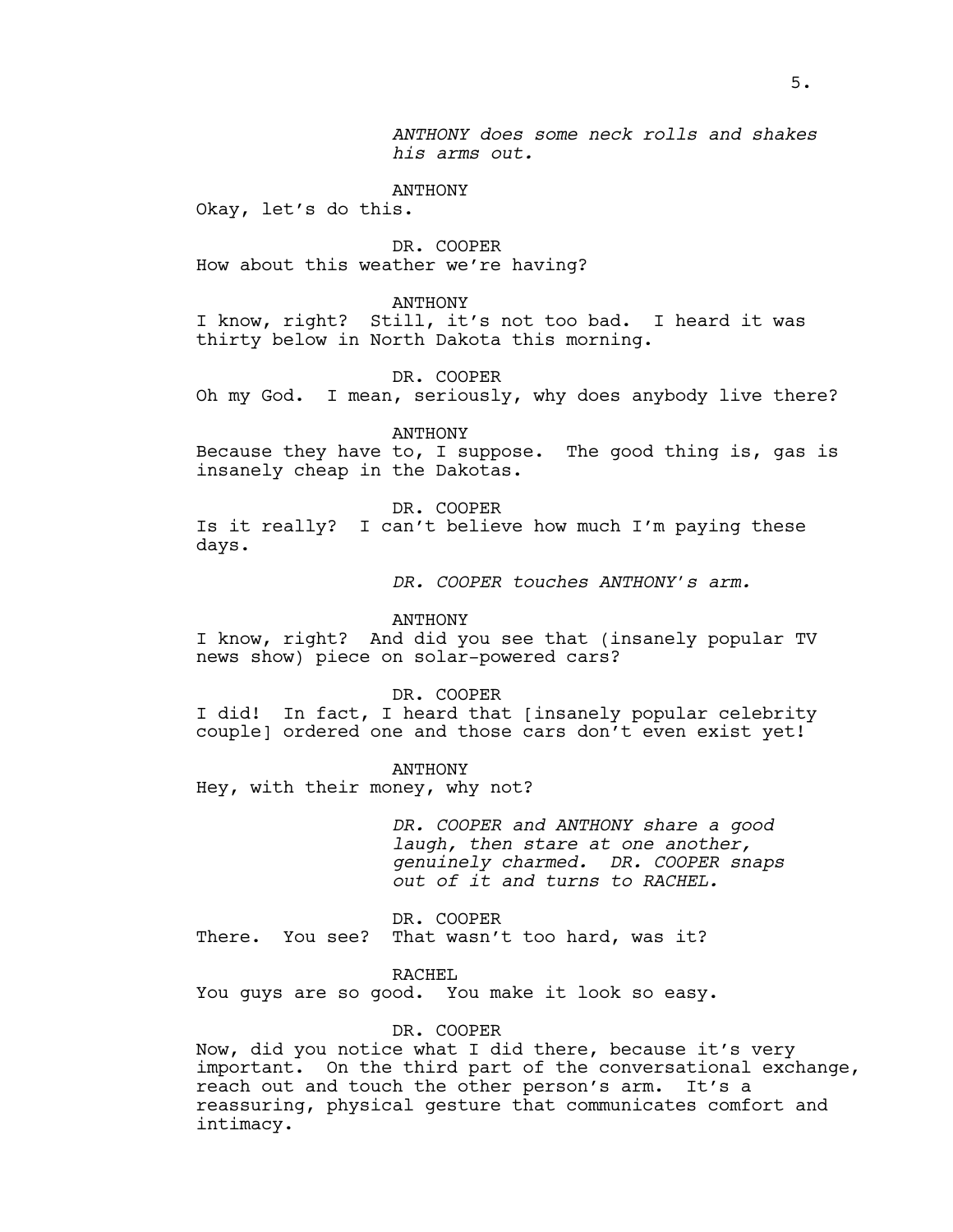*ANTHONY does some neck rolls and shakes his arms out.*

ANTHONY

Okay, let's do this.

DR. COOPER How about this weather we're having?

#### ANTHONY

I know, right? Still, it's not too bad. I heard it was thirty below in North Dakota this morning.

DR. COOPER

Oh my God. I mean, seriously, why does anybody live there?

ANTHONY

Because they have to, I suppose. The good thing is, gas is insanely cheap in the Dakotas.

DR. COOPER

Is it really? I can't believe how much I'm paying these days.

*DR. COOPER touches ANTHONY's arm.*

#### ANTHONY

I know, right? And did you see that (insanely popular TV news show) piece on solar-powered cars?

DR. COOPER

I did! In fact, I heard that [insanely popular celebrity couple] ordered one and those cars don't even exist yet!

ANTHONY

Hey, with their money, why not?

*DR. COOPER and ANTHONY share a good laugh, then stare at one another, genuinely charmed. DR. COOPER snaps out of it and turns to RACHEL.*

DR. COOPER There. You see? That wasn't too hard, was it?

RACHEL

You guys are so good. You make it look so easy.

# DR. COOPER

Now, did you notice what I did there, because it's very important. On the third part of the conversational exchange, reach out and touch the other person's arm. It's a reassuring, physical gesture that communicates comfort and intimacy.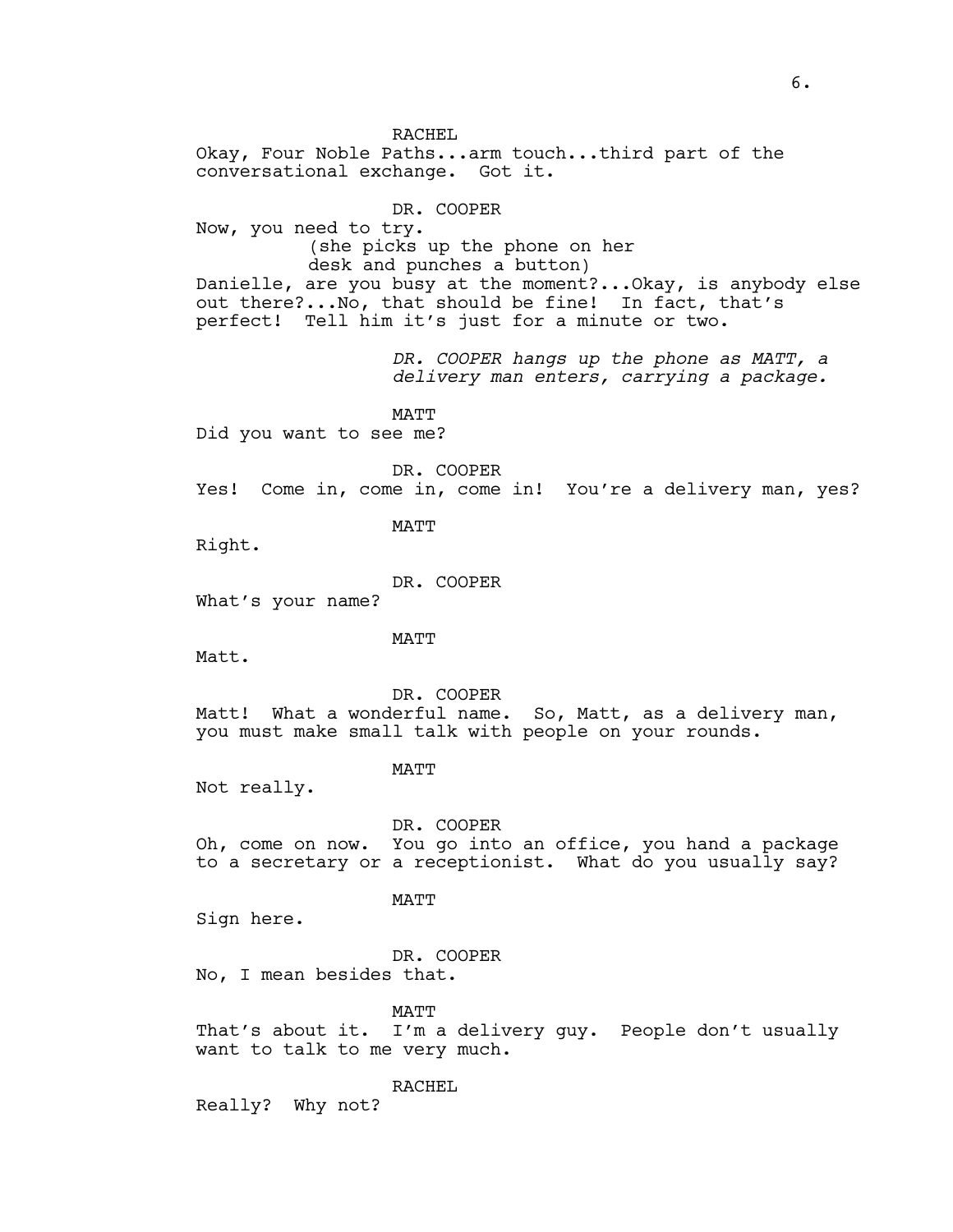RACHEL Okay, Four Noble Paths...arm touch...third part of the conversational exchange. Got it. DR. COOPER Now, you need to try. (she picks up the phone on her desk and punches a button) Danielle, are you busy at the moment?...Okay, is anybody else out there?...No, that should be fine! In fact, that's perfect! Tell him it's just for a minute or two. *DR. COOPER hangs up the phone as MATT, a delivery man enters, carrying a package.* MATT Did you want to see me? DR. COOPER Yes! Come in, come in, come in! You're a delivery man, yes? **MATT** Right. DR. COOPER What's your name? MATT Matt. DR. COOPER Matt! What a wonderful name. So, Matt, as a delivery man, you must make small talk with people on your rounds. MATT Not really. DR. COOPER Oh, come on now. You go into an office, you hand a package to a secretary or a receptionist. What do you usually say? MATT Sign here. DR. COOPER No, I mean besides that. MATT

That's about it. I'm a delivery guy. People don't usually want to talk to me very much.

RACHEL

Really? Why not?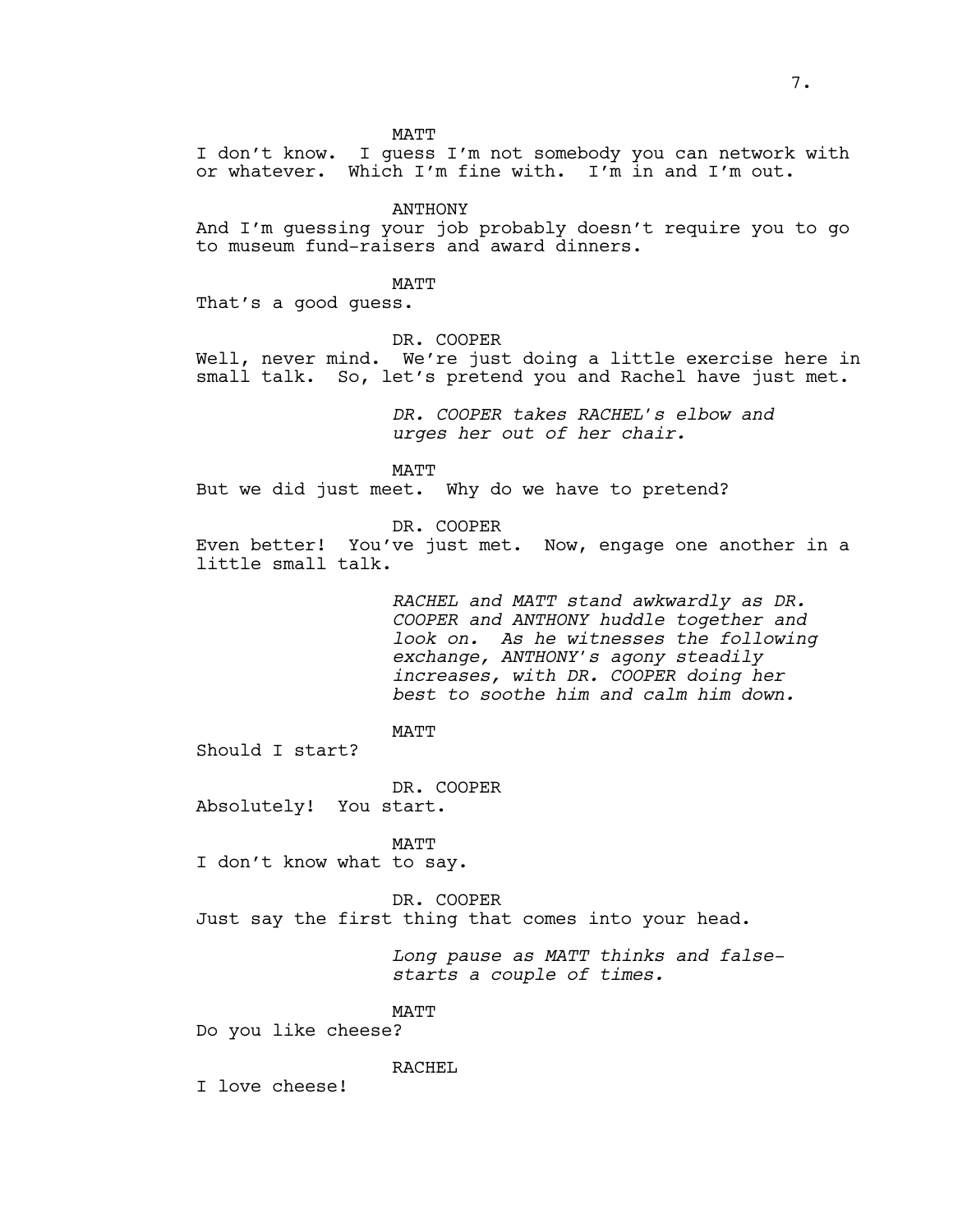MATT

I don't know. I guess I'm not somebody you can network with or whatever. Which I'm fine with. I'm in and I'm out.

ANTHONY

And I'm guessing your job probably doesn't require you to go to museum fund-raisers and award dinners.

MATT

That's a good guess.

DR. COOPER

Well, never mind. We're just doing a little exercise here in small talk. So, let's pretend you and Rachel have just met.

> *DR. COOPER takes RACHEL's elbow and urges her out of her chair.*

MATT

But we did just meet. Why do we have to pretend?

DR. COOPER

Even better! You've just met. Now, engage one another in a little small talk.

> *RACHEL and MATT stand awkwardly as DR. COOPER and ANTHONY huddle together and look on. As he witnesses the following exchange, ANTHONY's agony steadily increases, with DR. COOPER doing her best to soothe him and calm him down.*

**MATT** 

Should I start?

DR. COOPER Absolutely! You start.

**MATT** I don't know what to say.

DR. COOPER Just say the first thing that comes into your head.

> *Long pause as MATT thinks and falsestarts a couple of times.*

MATT

Do you like cheese?

RACHEL

I love cheese!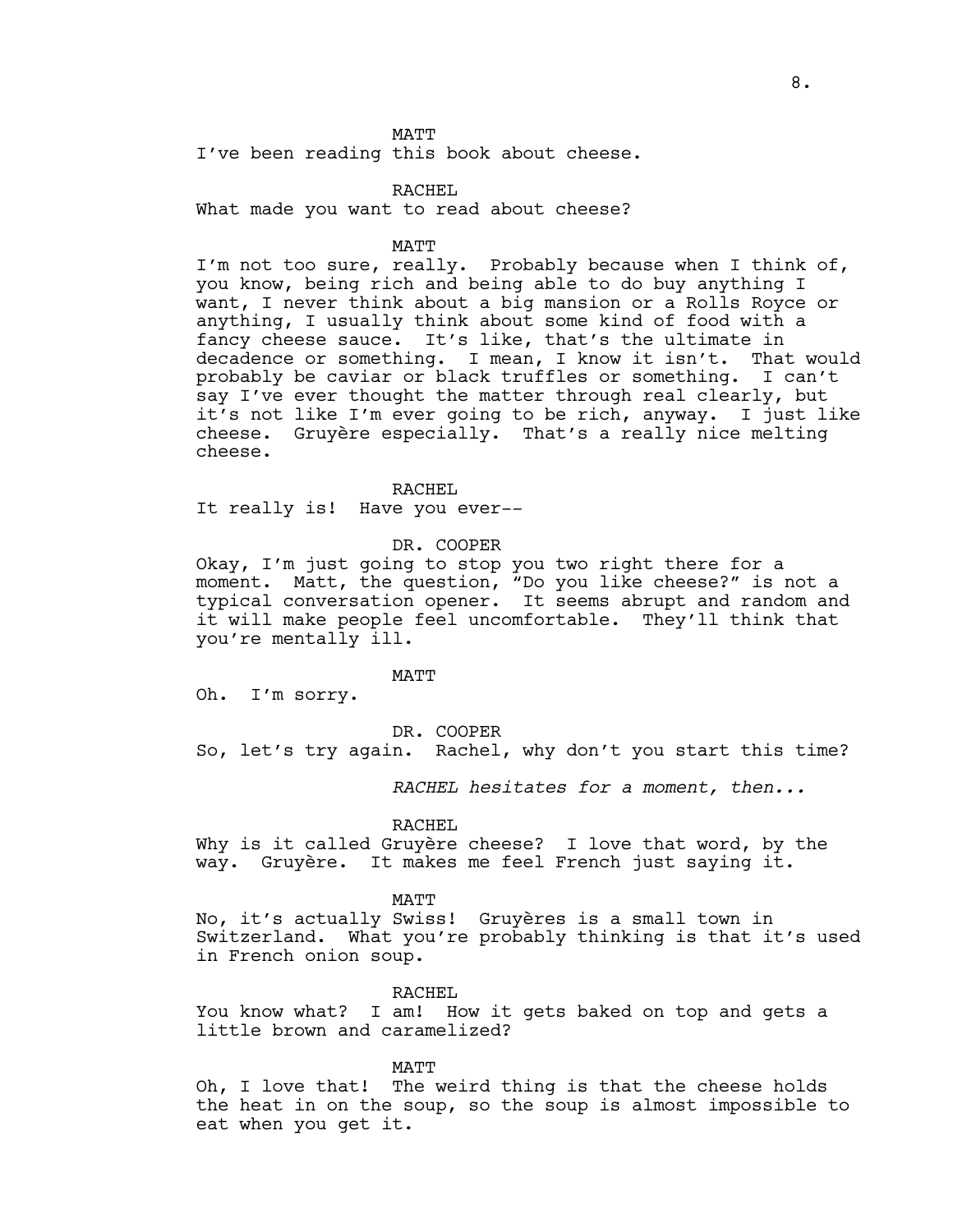MATT

I've been reading this book about cheese.

## RACHEL

What made you want to read about cheese?

#### MATT

I'm not too sure, really. Probably because when I think of, you know, being rich and being able to do buy anything I want, I never think about a big mansion or a Rolls Royce or anything, I usually think about some kind of food with a fancy cheese sauce. It's like, that's the ultimate in decadence or something. I mean, I know it isn't. That would probably be caviar or black truffles or something. I can't say I've ever thought the matter through real clearly, but it's not like I'm ever going to be rich, anyway. I just like cheese. Gruyère especially. That's a really nice melting cheese.

RACHEL

It really is! Have you ever--

#### DR. COOPER

Okay, I'm just going to stop you two right there for a moment. Matt, the question, "Do you like cheese?" is not a typical conversation opener. It seems abrupt and random and it will make people feel uncomfortable. They'll think that you're mentally ill.

## MATT

Oh. I'm sorry.

## DR. COOPER

So, let's try again. Rachel, why don't you start this time?

*RACHEL hesitates for a moment, then...*

#### RACHEL

Why is it called Gruyère cheese? I love that word, by the way. Gruyère. It makes me feel French just saying it.

#### MATT

No, it's actually Swiss! Gruyères is a small town in Switzerland. What you're probably thinking is that it's used in French onion soup.

#### RACHEL

You know what? I am! How it gets baked on top and gets a little brown and caramelized?

#### MATT

Oh, I love that! The weird thing is that the cheese holds the heat in on the soup, so the soup is almost impossible to eat when you get it.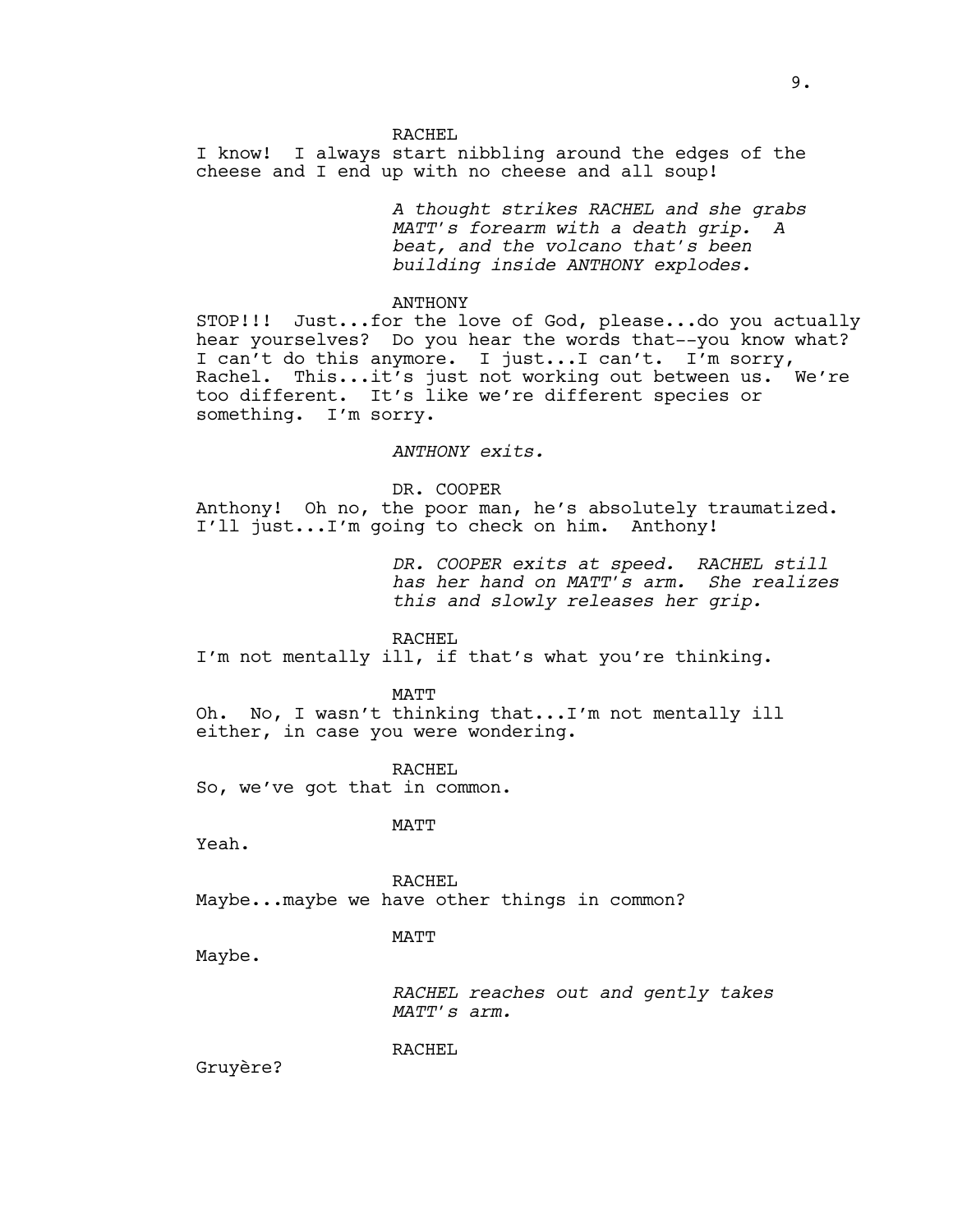RACHEL I know! I always start nibbling around the edges of the cheese and I end up with no cheese and all soup!

> *A thought strikes RACHEL and she grabs MATT's forearm with a death grip. A beat, and the volcano that's been building inside ANTHONY explodes.*

ANTHONY

STOP!!! Just...for the love of God, please...do you actually hear yourselves? Do you hear the words that--you know what? I can't do this anymore. I just...I can't. I'm sorry, Rachel. This...it's just not working out between us. We're too different. It's like we're different species or something. I'm sorry.

*ANTHONY exits.*

DR. COOPER

Anthony! Oh no, the poor man, he's absolutely traumatized. I'll just...I'm going to check on him. Anthony!

> *DR. COOPER exits at speed. RACHEL still has her hand on MATT's arm. She realizes this and slowly releases her grip.*

## RACHEL

I'm not mentally ill, if that's what you're thinking.

MATT

Oh. No, I wasn't thinking that...I'm not mentally ill either, in case you were wondering.

RACHEL

So, we've got that in common.

MATT

Yeah.

RACHEL Maybe...maybe we have other things in common?

MATT

Maybe.

*RACHEL reaches out and gently takes MATT's arm.* 

RACHEL

Gruyère?